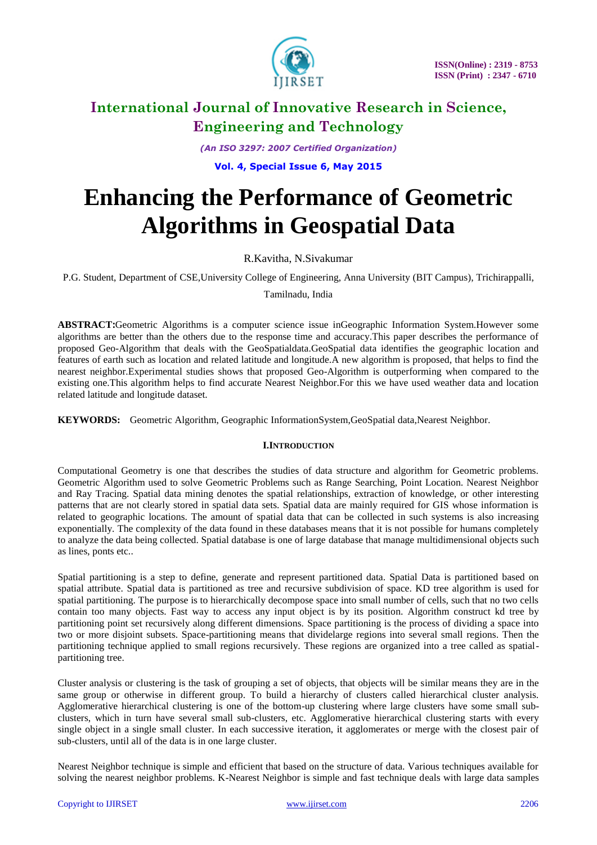

*(An ISO 3297: 2007 Certified Organization)*

**Vol. 4, Special Issue 6, May 2015**

# **Enhancing the Performance of Geometric Algorithms in Geospatial Data**

R.Kavitha, N.Sivakumar

P.G. Student, Department of CSE,University College of Engineering, Anna University (BIT Campus), Trichirappalli,

Tamilnadu, India

**ABSTRACT:**Geometric Algorithms is a computer science issue inGeographic Information System.However some algorithms are better than the others due to the response time and accuracy.This paper describes the performance of proposed Geo-Algorithm that deals with the GeoSpatialdata.GeoSpatial data identifies the geographic location and features of earth such as location and related latitude and longitude.A new algorithm is proposed, that helps to find the nearest neighbor.Experimental studies shows that proposed Geo-Algorithm is outperforming when compared to the existing one.This algorithm helps to find accurate Nearest Neighbor.For this we have used weather data and location related latitude and longitude dataset.

**KEYWORDS:** Geometric Algorithm, Geographic InformationSystem,GeoSpatial data,Nearest Neighbor.

### **I.INTRODUCTION**

Computational Geometry is one that describes the studies of data structure and algorithm for Geometric problems. Geometric Algorithm used to solve Geometric Problems such as Range Searching, Point Location. Nearest Neighbor and Ray Tracing. Spatial data mining denotes the spatial relationships, extraction of knowledge, or other interesting patterns that are not clearly stored in spatial data sets. Spatial data are mainly required for GIS whose information is related to geographic locations. The amount of spatial data that can be collected in such systems is also increasing exponentially. The complexity of the data found in these databases means that it is not possible for humans completely to analyze the data being collected. Spatial database is one of large database that manage multidimensional objects such as lines, ponts etc..

Spatial partitioning is a step to define, generate and represent partitioned data. Spatial Data is partitioned based on spatial attribute. Spatial data is partitioned as tree and recursive subdivision of space. KD tree algorithm is used for spatial partitioning. The purpose is to hierarchically decompose space into small number of cells, such that no two cells contain too many objects. Fast way to access any input object is by its position. Algorithm construct kd tree by partitioning point set recursively along different dimensions. Space partitioning is the process of dividing a space into two or more disjoint subsets. Space-partitioning means that dividelarge regions into several small regions. Then the partitioning technique applied to small regions recursively. These regions are organized into a tree called as spatialpartitioning tree.

Cluster analysis or clustering is the task of grouping a set of objects, that objects will be similar means they are in the same group or otherwise in different group. To build a hierarchy of clusters called hierarchical cluster analysis. Agglomerative hierarchical clustering is one of the bottom-up clustering where large clusters have some small subclusters, which in turn have several small sub-clusters, etc. Agglomerative hierarchical clustering starts with every single object in a single small cluster. In each successive iteration, it agglomerates or merge with the closest pair of sub-clusters, until all of the data is in one large cluster.

Nearest Neighbor technique is simple and efficient that based on the structure of data. Various techniques available for solving the nearest neighbor problems. K-Nearest Neighbor is simple and fast technique deals with large data samples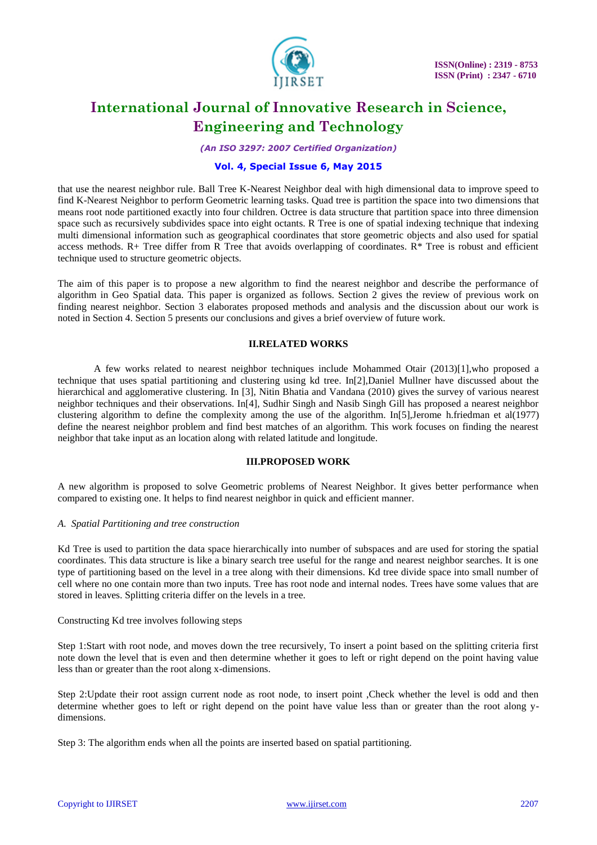

*(An ISO 3297: 2007 Certified Organization)*

### **Vol. 4, Special Issue 6, May 2015**

that use the nearest neighbor rule. Ball Tree K-Nearest Neighbor deal with high dimensional data to improve speed to find K-Nearest Neighbor to perform Geometric learning tasks. Quad tree is partition the space into two dimensions that means root node partitioned exactly into four children. Octree is data structure that partition space into three dimension space such as recursively subdivides space into eight octants. R Tree is one of spatial indexing technique that indexing multi dimensional information such as geographical coordinates that store geometric objects and also used for spatial access methods.  $R+$  Tree differ from R Tree that avoids overlapping of coordinates.  $R^*$  Tree is robust and efficient technique used to structure geometric objects.

The aim of this paper is to propose a new algorithm to find the nearest neighbor and describe the performance of algorithm in Geo Spatial data. This paper is organized as follows. Section 2 gives the review of previous work on finding nearest neighbor. Section 3 elaborates proposed methods and analysis and the discussion about our work is noted in Section 4. Section 5 presents our conclusions and gives a brief overview of future work.

#### **II.RELATED WORKS**

A few works related to nearest neighbor techniques include Mohammed Otair (2013)[1],who proposed a technique that uses spatial partitioning and clustering using kd tree. In[2],Daniel Mullner have discussed about the hierarchical and agglomerative clustering. In [3], Nitin Bhatia and Vandana (2010) gives the survey of various nearest neighbor techniques and their observations. In[4], Sudhir Singh and Nasib Singh Gill has proposed a nearest neighbor clustering algorithm to define the complexity among the use of the algorithm. In[5],Jerome h.friedman et al(1977) define the nearest neighbor problem and find best matches of an algorithm. This work focuses on finding the nearest neighbor that take input as an location along with related latitude and longitude.

### **III.PROPOSED WORK**

A new algorithm is proposed to solve Geometric problems of Nearest Neighbor. It gives better performance when compared to existing one. It helps to find nearest neighbor in quick and efficient manner.

#### *A. Spatial Partitioning and tree construction*

Kd Tree is used to partition the data space hierarchically into number of subspaces and are used for storing the spatial coordinates. This data structure is like a binary search tree useful for the range and nearest neighbor searches. It is one type of partitioning based on the level in a tree along with their dimensions. Kd tree divide space into small number of cell where no one contain more than two inputs. Tree has root node and internal nodes. Trees have some values that are stored in leaves. Splitting criteria differ on the levels in a tree.

#### Constructing Kd tree involves following steps

Step 1:Start with root node, and moves down the tree recursively, To insert a point based on the splitting criteria first note down the level that is even and then determine whether it goes to left or right depend on the point having value less than or greater than the root along x-dimensions.

Step 2:Update their root assign current node as root node, to insert point ,Check whether the level is odd and then determine whether goes to left or right depend on the point have value less than or greater than the root along ydimensions.

Step 3: The algorithm ends when all the points are inserted based on spatial partitioning.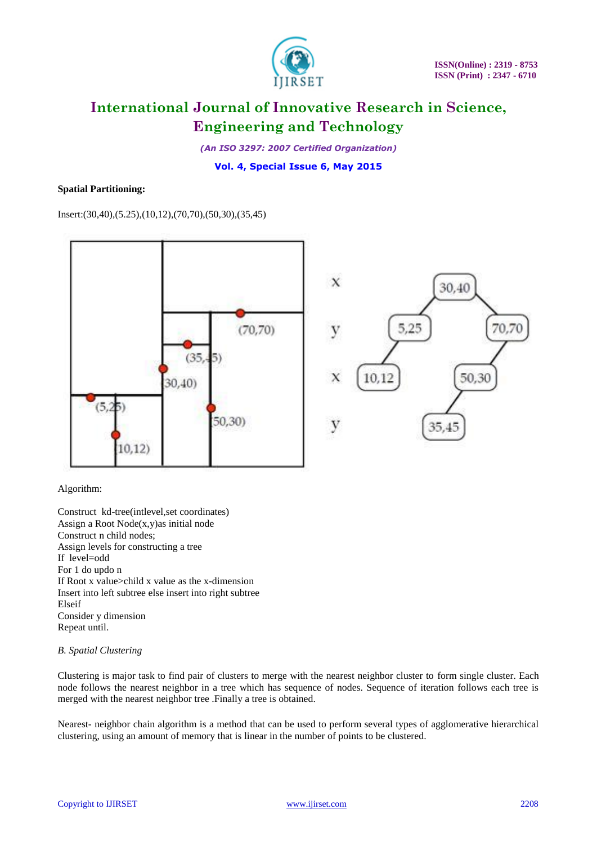

*(An ISO 3297: 2007 Certified Organization)*

**Vol. 4, Special Issue 6, May 2015**

#### **Spatial Partitioning:**

Insert:(30,40),(5.25),(10,12),(70,70),(50,30),(35,45)



#### Algorithm:

Construct kd-tree(intlevel,set coordinates) Assign a Root Node(x,y)as initial node Construct n child nodes; Assign levels for constructing a tree If level=odd For 1 do updo n If Root x value>child x value as the x-dimension Insert into left subtree else insert into right subtree Elseif Consider y dimension Repeat until.

### *B. Spatial Clustering*

Clustering is major task to find pair of clusters to merge with the nearest neighbor cluster to form single cluster. Each node follows the nearest neighbor in a tree which has sequence of nodes. Sequence of iteration follows each tree is merged with the nearest neighbor tree .Finally a tree is obtained.

Nearest- neighbor chain algorithm is a method that can be used to perform several types of agglomerative hierarchical clustering, using an amount of memory that is linear in the number of points to be clustered.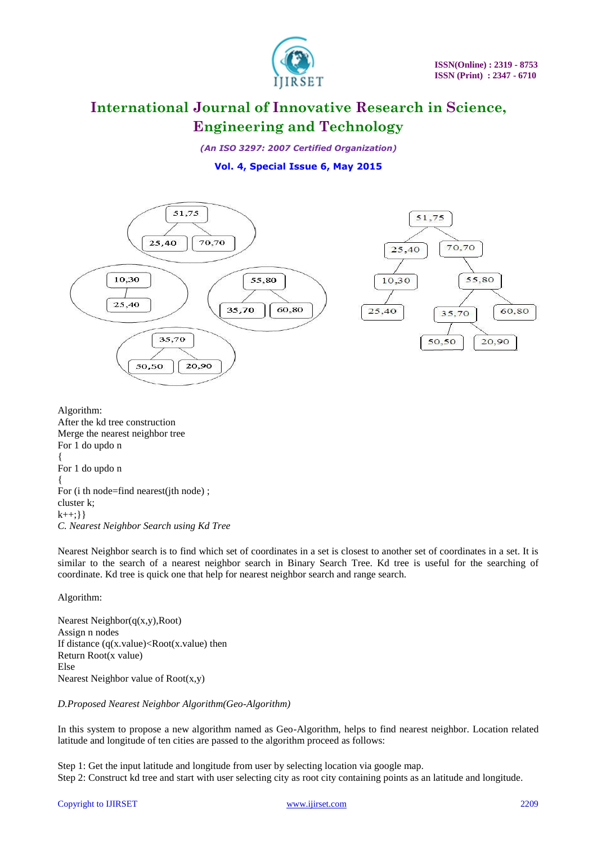

*(An ISO 3297: 2007 Certified Organization)*

# **Vol. 4, Special Issue 6, May 2015**



Algorithm: After the kd tree construction Merge the nearest neighbor tree For 1 do updo n { For 1 do updo n { For (i th node=find nearest(ith node) : cluster k;  $k++:}\}$ *C. Nearest Neighbor Search using Kd Tree*

Nearest Neighbor search is to find which set of coordinates in a set is closest to another set of coordinates in a set. It is similar to the search of a nearest neighbor search in Binary Search Tree. Kd tree is useful for the searching of coordinate. Kd tree is quick one that help for nearest neighbor search and range search.

Algorithm:

Nearest Neighbor(q(x,y),Root) Assign n nodes If distance  $(q(x.value) < Root(x.value)$  then Return Root(x value) Else Nearest Neighbor value of Root(x,y)

### *D.Proposed Nearest Neighbor Algorithm(Geo-Algorithm)*

In this system to propose a new algorithm named as Geo-Algorithm, helps to find nearest neighbor. Location related latitude and longitude of ten cities are passed to the algorithm proceed as follows:

Step 1: Get the input latitude and longitude from user by selecting location via google map. Step 2: Construct kd tree and start with user selecting city as root city containing points as an latitude and longitude.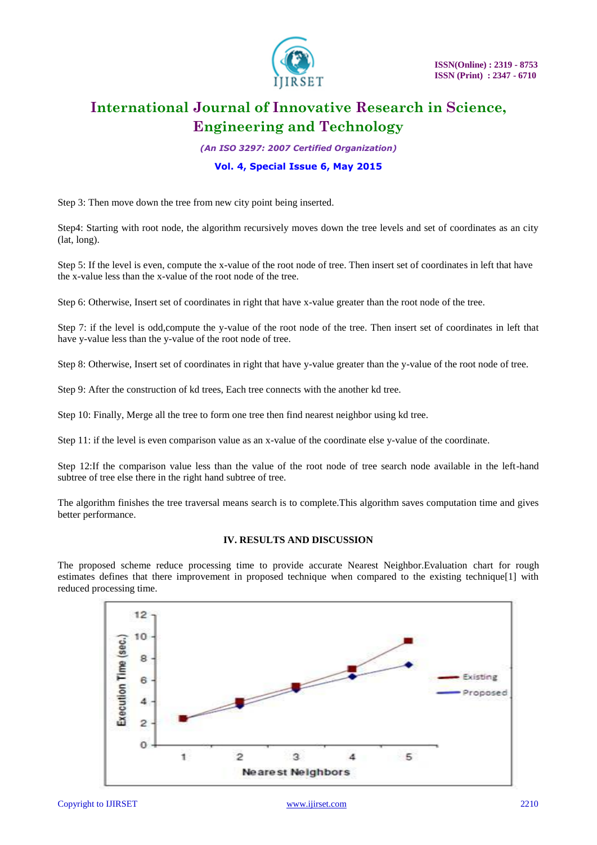

*(An ISO 3297: 2007 Certified Organization)*

### **Vol. 4, Special Issue 6, May 2015**

Step 3: Then move down the tree from new city point being inserted.

Step4: Starting with root node, the algorithm recursively moves down the tree levels and set of coordinates as an city (lat, long).

Step 5: If the level is even, compute the x-value of the root node of tree. Then insert set of coordinates in left that have the x-value less than the x-value of the root node of the tree.

Step 6: Otherwise, Insert set of coordinates in right that have x-value greater than the root node of the tree.

Step 7: if the level is odd,compute the y-value of the root node of the tree. Then insert set of coordinates in left that have y-value less than the y-value of the root node of tree.

Step 8: Otherwise, Insert set of coordinates in right that have y-value greater than the y-value of the root node of tree.

Step 9: After the construction of kd trees, Each tree connects with the another kd tree.

Step 10: Finally, Merge all the tree to form one tree then find nearest neighbor using kd tree.

Step 11: if the level is even comparison value as an x-value of the coordinate else y-value of the coordinate.

Step 12:If the comparison value less than the value of the root node of tree search node available in the left-hand subtree of tree else there in the right hand subtree of tree.

The algorithm finishes the tree traversal means search is to complete.This algorithm saves computation time and gives better performance.

#### **IV. RESULTS AND DISCUSSION**

The proposed scheme reduce processing time to provide accurate Nearest Neighbor.Evaluation chart for rough estimates defines that there improvement in proposed technique when compared to the existing technique[1] with reduced processing time.